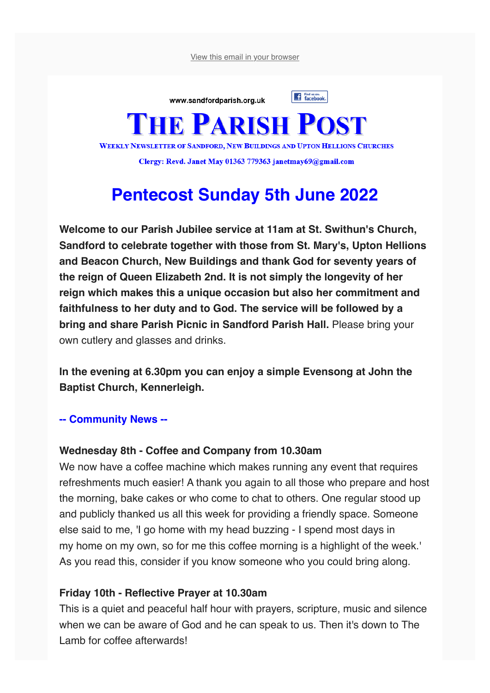View this email in your browser



# **Pentecost Sunday 5th June 2022**

**Welcome to our Parish Jubilee service at 11am at St. Swithun's Church, Sandford to celebrate together with those from St. Mary's, Upton Hellions and Beacon Church, New Buildings and thank God for seventy years of the reign of Queen Elizabeth 2nd. It is not simply the longevity of her reign which makes this a unique occasion but also her commitment and faithfulness to her duty and to God. The service will be followed by a bring and share Parish Picnic in Sandford Parish Hall.** Please bring your own cutlery and glasses and drinks.

**In the evening at 6.30pm you can enjoy a simple Evensong at John the Baptist Church, Kennerleigh.** 

#### **-- Community News --**

#### **Wednesday 8th - Coffee and Company from 10.30am**

We now have a coffee machine which makes running any event that requires refreshments much easier! A thank you again to all those who prepare and host the morning, bake cakes or who come to chat to others. One regular stood up and publicly thanked us all this week for providing a friendly space. Someone else said to me, 'I go home with my head buzzing - I spend most days in my home on my own, so for me this coffee morning is a highlight of the week.' As you read this, consider if you know someone who you could bring along.

#### **Friday 10th - Reflective Prayer at 10.30am**

This is a quiet and peaceful half hour with prayers, scripture, music and silence when we can be aware of God and he can speak to us. Then it's down to The Lamb for coffee afterwards!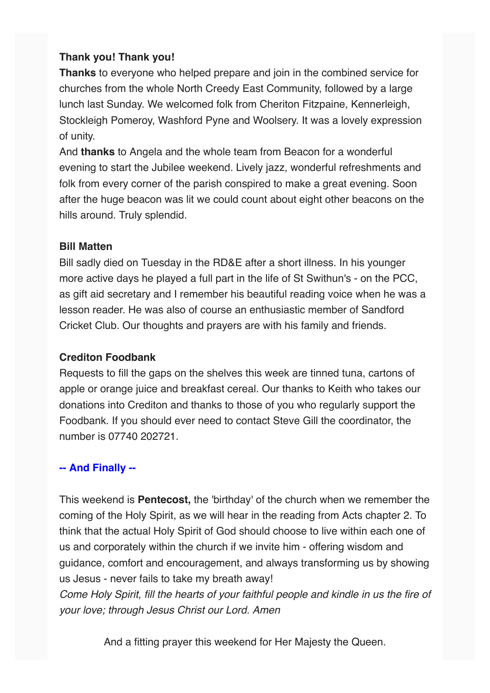## **Thank you! Thank you!**

**Thanks** to everyone who helped prepare and join in the combined service for churches from the whole North Creedy East Community, followed by a large lunch last Sunday. We welcomed folk from Cheriton Fitzpaine, Kennerleigh, Stockleigh Pomeroy, Washford Pyne and Woolsery. It was a lovely expression of unity.

And **thanks** to Angela and the whole team from Beacon for a wonderful evening to start the Jubilee weekend. Lively jazz, wonderful refreshments and folk from every corner of the parish conspired to make a great evening. Soon after the huge beacon was lit we could count about eight other beacons on the hills around. Truly splendid.

### **Bill Matten**

Bill sadly died on Tuesday in the RD&E after a short illness. In his younger more active days he played a full part in the life of St Swithun's - on the PCC, as gift aid secretary and I remember his beautiful reading voice when he was a lesson reader. He was also of course an enthusiastic member of Sandford Cricket Club. Our thoughts and prayers are with his family and friends.

## **Crediton Foodbank**

Requests to fill the gaps on the shelves this week are tinned tuna, cartons of apple or orange juice and breakfast cereal. Our thanks to Keith who takes our donations into Crediton and thanks to those of you who regularly support the Foodbank. If you should ever need to contact Steve Gill the coordinator, the number is 07740 202721.

## **-- And Finally --**

This weekend is **Pentecost,** the 'birthday' of the church when we remember the coming of the Holy Spirit, as we will hear in the reading from Acts chapter 2. To think that the actual Holy Spirit of God should choose to live within each one of us and corporately within the church if we invite him - offering wisdom and guidance, comfort and encouragement, and always transforming us by showing us Jesus - never fails to take my breath away! *Come Holy Spirit, fill the hearts of your faithful people and kindle in us the fire of your love; through Jesus Christ our Lord. Amen*

And a fitting prayer this weekend for Her Majesty the Queen.